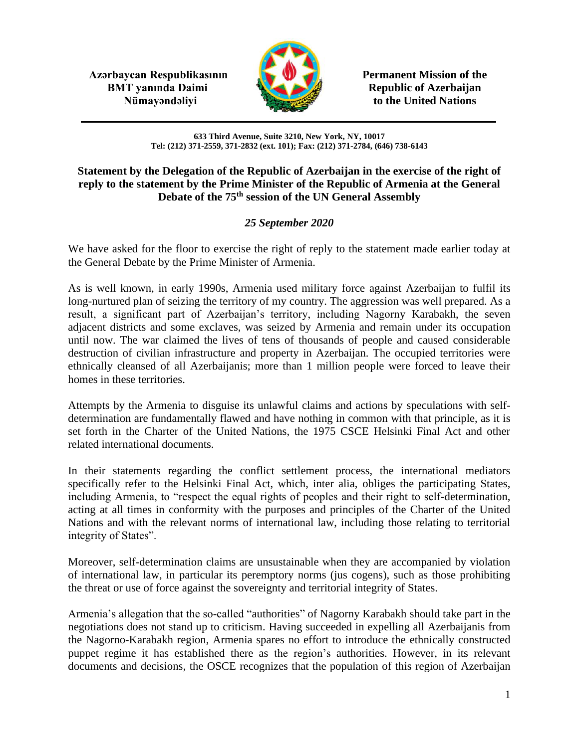**Azərbaycan Respublikasının Permanent Mission of the BMT yanında Daimi Republic of Azerbaijan** 



**Nümayəndəliyi** to the United Nations

**633 Third Avenue, Suite 3210, New York, NY, 10017 Tel: (212) 371-2559, 371-2832 (ext. 101); Fax: (212) 371-2784, (646) 738-6143**

## **Statement by the Delegation of the Republic of Azerbaijan in the exercise of the right of reply to the statement by the Prime Minister of the Republic of Armenia at the General Debate of the 75th session of the UN General Assembly**

## *25 September 2020*

We have asked for the floor to exercise the right of reply to the statement made earlier today at the General Debate by the Prime Minister of Armenia.

As is well known, in early 1990s, Armenia used military force against Azerbaijan to fulfil its long-nurtured plan of seizing the territory of my country. The aggression was well prepared. As a result, a significant part of Azerbaijan's territory, including Nagorny Karabakh, the seven adjacent districts and some exclaves, was seized by Armenia and remain under its occupation until now. The war claimed the lives of tens of thousands of people and caused considerable destruction of civilian infrastructure and property in Azerbaijan. The occupied territories were ethnically cleansed of all Azerbaijanis; more than 1 million people were forced to leave their homes in these territories.

Attempts by the Armenia to disguise its unlawful claims and actions by speculations with selfdetermination are fundamentally flawed and have nothing in common with that principle, as it is set forth in the Charter of the United Nations, the 1975 CSCE Helsinki Final Act and other related international documents.

In their statements regarding the conflict settlement process, the international mediators specifically refer to the Helsinki Final Act, which, inter alia, obliges the participating States, including Armenia, to "respect the equal rights of peoples and their right to self-determination, acting at all times in conformity with the purposes and principles of the Charter of the United Nations and with the relevant norms of international law, including those relating to territorial integrity of States".

Moreover, self-determination claims are unsustainable when they are accompanied by violation of international law, in particular its peremptory norms (jus cogens), such as those prohibiting the threat or use of force against the sovereignty and territorial integrity of States.

Armenia's allegation that the so-called "authorities" of Nagorny Karabakh should take part in the negotiations does not stand up to criticism. Having succeeded in expelling all Azerbaijanis from the Nagorno-Karabakh region, Armenia spares no effort to introduce the ethnically constructed puppet regime it has established there as the region's authorities. However, in its relevant documents and decisions, the OSCE recognizes that the population of this region of Azerbaijan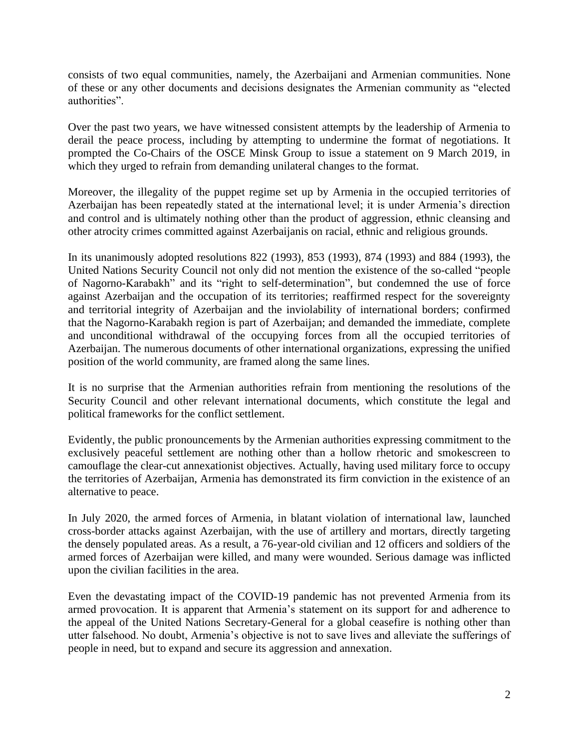consists of two equal communities, namely, the Azerbaijani and Armenian communities. None of these or any other documents and decisions designates the Armenian community as "elected authorities".

Over the past two years, we have witnessed consistent attempts by the leadership of Armenia to derail the peace process, including by attempting to undermine the format of negotiations. It prompted the Co-Chairs of the OSCE Minsk Group to issue a statement on 9 March 2019, in which they urged to refrain from demanding unilateral changes to the format.

Moreover, the illegality of the puppet regime set up by Armenia in the occupied territories of Azerbaijan has been repeatedly stated at the international level; it is under Armenia's direction and control and is ultimately nothing other than the product of aggression, ethnic cleansing and other atrocity crimes committed against Azerbaijanis on racial, ethnic and religious grounds.

In its unanimously adopted resolutions 822 (1993), 853 (1993), 874 (1993) and 884 (1993), the United Nations Security Council not only did not mention the existence of the so-called "people of Nagorno-Karabakh" and its "right to self-determination", but condemned the use of force against Azerbaijan and the occupation of its territories; reaffirmed respect for the sovereignty and territorial integrity of Azerbaijan and the inviolability of international borders; confirmed that the Nagorno-Karabakh region is part of Azerbaijan; and demanded the immediate, complete and unconditional withdrawal of the occupying forces from all the occupied territories of Azerbaijan. The numerous documents of other international organizations, expressing the unified position of the world community, are framed along the same lines.

It is no surprise that the Armenian authorities refrain from mentioning the resolutions of the Security Council and other relevant international documents, which constitute the legal and political frameworks for the conflict settlement.

Evidently, the public pronouncements by the Armenian authorities expressing commitment to the exclusively peaceful settlement are nothing other than a hollow rhetoric and smokescreen to camouflage the clear-cut annexationist objectives. Actually, having used military force to occupy the territories of Azerbaijan, Armenia has demonstrated its firm conviction in the existence of an alternative to peace.

In July 2020, the armed forces of Armenia, in blatant violation of international law, launched cross-border attacks against Azerbaijan, with the use of artillery and mortars, directly targeting the densely populated areas. As a result, a 76-year-old civilian and 12 officers and soldiers of the armed forces of Azerbaijan were killed, and many were wounded. Serious damage was inflicted upon the civilian facilities in the area.

Even the devastating impact of the COVID-19 pandemic has not prevented Armenia from its armed provocation. It is apparent that Armenia's statement on its support for and adherence to the appeal of the United Nations Secretary-General for a global ceasefire is nothing other than utter falsehood. No doubt, Armenia's objective is not to save lives and alleviate the sufferings of people in need, but to expand and secure its aggression and annexation.